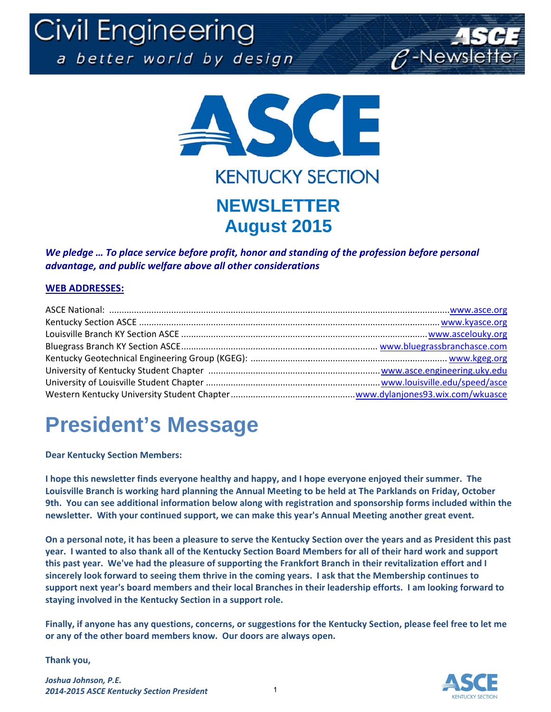Civil Engineering a better world by design





We pledge ... To place service before profit, honor and standing of the profession before personal advantage, and public welfare above all other considerations

#### **WEB ADDRESSES:**

### **President's Message**

**Dear Kentucky Section Members:** 

I hope this newsletter finds everyone healthy and happy, and I hope everyone enjoyed their summer. The Louisville Branch is working hard planning the Annual Meeting to be held at The Parklands on Friday, October 9th. You can see additional information below along with registration and sponsorship forms included within the newsletter. With your continued support, we can make this year's Annual Meeting another great event.

On a personal note, it has been a pleasure to serve the Kentucky Section over the years and as President this past year. I wanted to also thank all of the Kentucky Section Board Members for all of their hard work and support this past year. We've had the pleasure of supporting the Frankfort Branch in their revitalization effort and I sincerely look forward to seeing them thrive in the coming years. I ask that the Membership continues to support next year's board members and their local Branches in their leadership efforts. I am looking forward to staying involved in the Kentucky Section in a support role.

Finally, if anyone has any questions, concerns, or suggestions for the Kentucky Section, please feel free to let me or any of the other board members know. Our doors are always open.

Thank you,

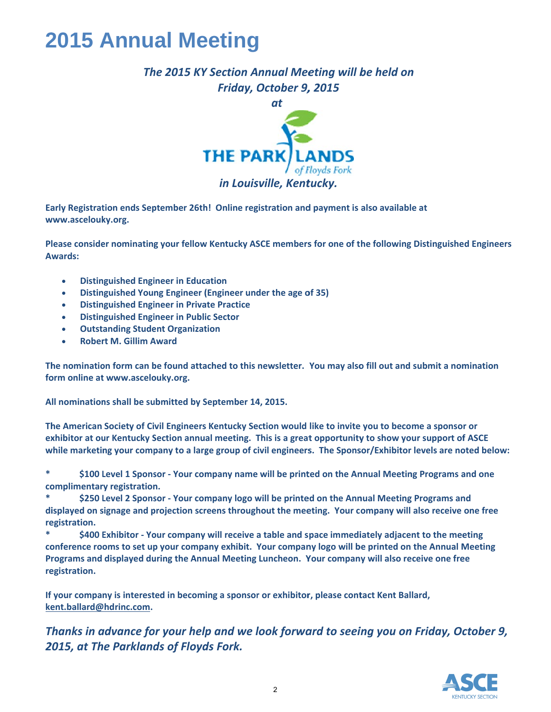#### **2015 Annual Meeting**

#### The 2015 KY Section Annual Meeting will be held on Friday, October 9, 2015



Early Registration ends September 26th! Online registration and payment is also available at www.ascelouky.org.

Please consider nominating your fellow Kentucky ASCE members for one of the following Distinguished Engineers **Awards:** 

- **Distinguished Engineer in Education**  $\bullet$
- Distinguished Young Engineer (Engineer under the age of 35)
- **Distinguished Engineer in Private Practice**  $\bullet$
- **Distinguished Engineer in Public Sector**
- **Outstanding Student Organization**
- **Robert M. Gillim Award**

The nomination form can be found attached to this newsletter. You may also fill out and submit a nomination form online at www.ascelouky.org.

All nominations shall be submitted by September 14, 2015.

The American Society of Civil Engineers Kentucky Section would like to invite you to become a sponsor or exhibitor at our Kentucky Section annual meeting. This is a great opportunity to show your support of ASCE while marketing your company to a large group of civil engineers. The Sponsor/Exhibitor levels are noted below:

 $\ast$ \$100 Level 1 Sponsor - Your company name will be printed on the Annual Meeting Programs and one complimentary registration.

\$250 Level 2 Sponsor - Your company logo will be printed on the Annual Meeting Programs and displayed on signage and projection screens throughout the meeting. Your company will also receive one free registration.

 $\ast$ \$400 Exhibitor - Your company will receive a table and space immediately adjacent to the meeting conference rooms to set up your company exhibit. Your company logo will be printed on the Annual Meeting Programs and displayed during the Annual Meeting Luncheon. Your company will also receive one free registration.

If your company is interested in becoming a sponsor or exhibitor, please contact Kent Ballard, kent.ballard@hdrinc.com.

Thanks in advance for your help and we look forward to seeing you on Friday, October 9, 2015, at The Parklands of Floyds Fork.

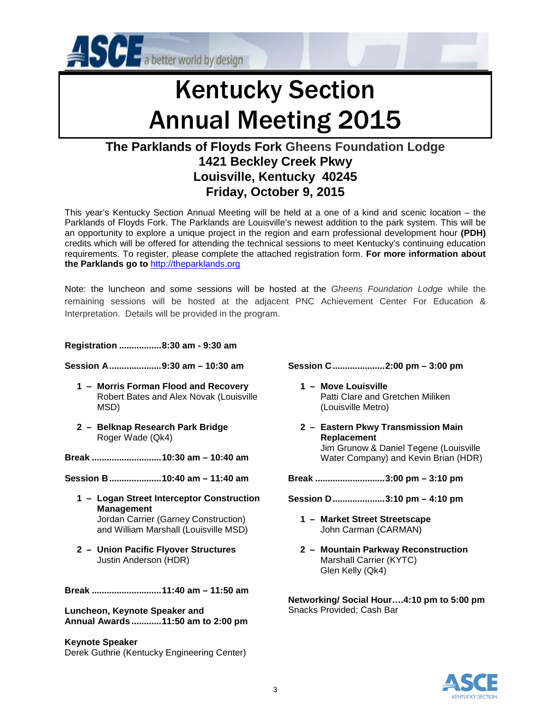

# Kentucky Section Annual Meeting 2015

#### **The Parklands of Floyds Fork Gheens Foundation Lodge 1421 Beckley Creek Pkwy Louisville, Kentucky 40245 Friday, October 9, 2015**

This year's Kentucky Section Annual Meeting will be held at a one of a kind and scenic location – the Parklands of Floyds Fork. The Parklands are Louisville's newest addition to the park system. This will be an opportunity to explore a unique project in the region and earn professional development hour **(PDH)** credits which will be offered for attending the technical sessions to meet Kentucky's continuing education requirements. To register, please complete the attached registration form. **For more information about the Parklands go to** [http://theparklands.org](http://theparklands.org/)

Note: the luncheon and some sessions will be hosted at the *Gheens Foundation Lodge* while the remaining sessions will be hosted at the adjacent PNC Achievement Center For Education & Interpretation. Details will be provided in the program.

**Registration ................. 8:30 am - 9:30 am**

- **Session A..................... 9:30 am 10:30 am** 
	- **1 – Morris Forman Flood and Recovery** Robert Bates and Alex Novak (Louisville MSD)
	- **2 – Belknap Research Park Bridge** Roger Wade (Qk4)

**Break ............................10:30 am – 10:40 am**

**Session B.....................10:40 am – 11:40 am**

**1 – Logan Street Interceptor Construction Management** Jordan Carrier (Garney Construction)

and William Marshall (Louisville MSD)

**2 – Union Pacific Flyover Structures** Justin Anderson (HDR)

**Break ............................11:40 am – 11:50 am**

**Luncheon, Keynote Speaker and Annual Awards ............11:50 am to 2:00 pm**

**Keynote Speaker** Derek Guthrie (Kentucky Engineering Center)

- **Session C.....................2:00 pm 3:00 pm**
	- **1 – Move Louisville Patti Clare and Gretchen Miliken** (Louisville Metro)
	- **2 – Eastern Pkwy Transmission Main Replacement** Jim Grunow & Daniel Tegene (Louisville Water Company) and Kevin Brian (HDR)

**Break ............................3:00 pm – 3:10 pm**

- **Session D.....................3:10 pm 4:10 pm**
	- **1 – Market Street Streetscape** John Carman (CARMAN)
	- **2 – Mountain Parkway Reconstruction** Marshall Carrier (KYTC) Glen Kelly (Qk4)

**Networking/ Social Hour….4:10 pm to 5:00 pm** Snacks Provided; Cash Bar

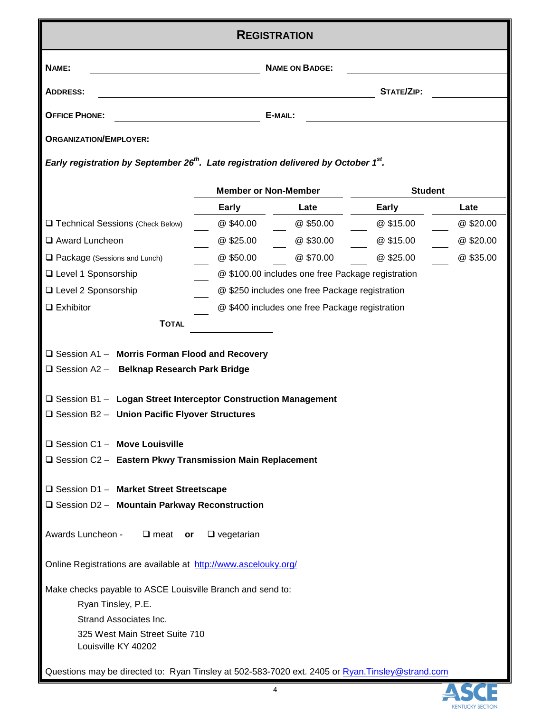| <b>REGISTRATION</b>                                                                                         |                             |                                                   |                |          |
|-------------------------------------------------------------------------------------------------------------|-----------------------------|---------------------------------------------------|----------------|----------|
| NAME:<br><b>NAME ON BADGE:</b>                                                                              |                             |                                                   |                |          |
| <b>ADDRESS:</b>                                                                                             |                             |                                                   | STATE/ZIP:     |          |
| <b>OFFICE PHONE:</b>                                                                                        |                             | E-MAIL:                                           |                |          |
| <b>ORGANIZATION/EMPLOYER:</b>                                                                               |                             |                                                   |                |          |
| Early registration by September 26 <sup>th</sup> . Late registration delivered by October 1 <sup>st</sup> . |                             |                                                   |                |          |
|                                                                                                             | <b>Member or Non-Member</b> |                                                   | <b>Student</b> |          |
|                                                                                                             | Early                       | Late                                              | Early          | Late     |
| Technical Sessions (Check Below)                                                                            | @ \$40.00                   | @\$50.00                                          | @ \$15.00      | @\$20.00 |
| □ Award Luncheon                                                                                            | @\$25.00                    | @\$30.00                                          | @ \$15.00      | @\$20.00 |
| $\Box$ Package (Sessions and Lunch)                                                                         | @\$50.00                    | @\$70.00                                          | @\$25.00       | @\$35.00 |
| □ Level 1 Sponsorship                                                                                       |                             | @ \$100.00 includes one free Package registration |                |          |
| □ Level 2 Sponsorship                                                                                       |                             | @ \$250 includes one free Package registration    |                |          |
| $\Box$ Exhibitor                                                                                            |                             | @ \$400 includes one free Package registration    |                |          |
| <b>TOTAL</b>                                                                                                |                             |                                                   |                |          |
| $\Box$ Session A1 - Morris Forman Flood and Recovery<br>□ Session A2 - Belknap Research Park Bridge         |                             |                                                   |                |          |
| □ Session B1 - Logan Street Interceptor Construction Management                                             |                             |                                                   |                |          |
| □ Session B2 - Union Pacific Flyover Structures                                                             |                             |                                                   |                |          |
| $\Box$ Session C1 - Move Louisville                                                                         |                             |                                                   |                |          |
| $\square$ Session C2 - Eastern Pkwy Transmission Main Replacement                                           |                             |                                                   |                |          |
|                                                                                                             |                             |                                                   |                |          |
| □ Session D1 - Market Street Streetscape                                                                    |                             |                                                   |                |          |
| □ Session D2 - Mountain Parkway Reconstruction                                                              |                             |                                                   |                |          |
| Awards Luncheon -<br>$\Box$ meat or<br>$\square$ vegetarian                                                 |                             |                                                   |                |          |
| Online Registrations are available at http://www.ascelouky.org/                                             |                             |                                                   |                |          |
| Make checks payable to ASCE Louisville Branch and send to:                                                  |                             |                                                   |                |          |
| Ryan Tinsley, P.E.                                                                                          |                             |                                                   |                |          |
| Strand Associates Inc.                                                                                      |                             |                                                   |                |          |
| 325 West Main Street Suite 710<br>Louisville KY 40202                                                       |                             |                                                   |                |          |
| Questions may be directed to: Ryan Tinsley at 502-583-7020 ext. 2405 or Ryan.Tinsley@strand.com             |                             |                                                   |                |          |

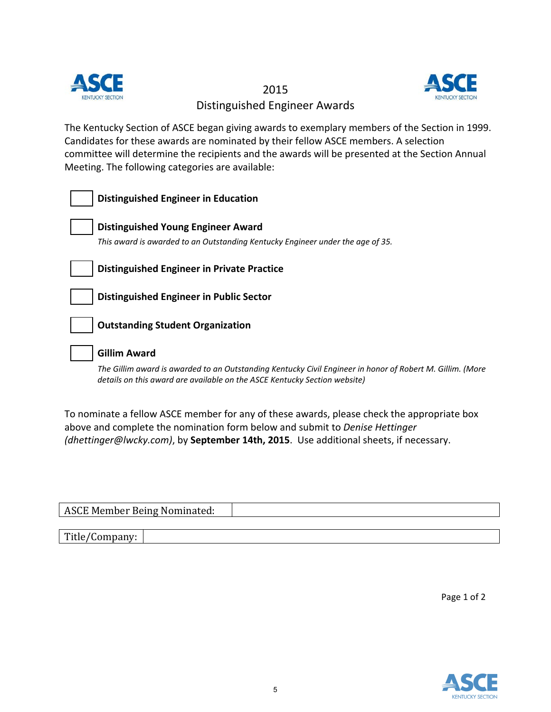

2015 Distinguished Engineer Awards



The Kentucky Section of ASCE began giving awards to exemplary members of the Section in 1999. Candidates for these awards are nominated by their fellow ASCE members. A selection committee will determine the recipients and the awards will be presented at the Section Annual Meeting. The following categories are available:

| <b>Distinguished Engineer in Education</b>                                                                                                                                             |
|----------------------------------------------------------------------------------------------------------------------------------------------------------------------------------------|
|                                                                                                                                                                                        |
| <b>Distinguished Young Engineer Award</b>                                                                                                                                              |
| This award is awarded to an Outstanding Kentucky Engineer under the age of 35.                                                                                                         |
|                                                                                                                                                                                        |
| <b>Distinguished Engineer in Private Practice</b>                                                                                                                                      |
|                                                                                                                                                                                        |
| Distinguished Engineer in Public Sector                                                                                                                                                |
|                                                                                                                                                                                        |
| <b>Outstanding Student Organization</b>                                                                                                                                                |
|                                                                                                                                                                                        |
| <b>Gillim Award</b>                                                                                                                                                                    |
| The Gillim award is awarded to an Outstanding Kentucky Civil Engineer in honor of Robert M. Gillim. (More<br>details on this award are available on the ASCE Kentucky Section website) |

To nominate a fellow ASCE member for any of these awards, please check the appropriate box above and complete the nomination form below and submit to *Denise Hettinger (dhettinger@lwcky.com)*, by **September 14th, 2015**. Use additional sheets, if necessary.

| ASCE Member Being Nominated: |  |  |
|------------------------------|--|--|
|                              |  |  |
| Title/Company:               |  |  |

Page 1 of 2

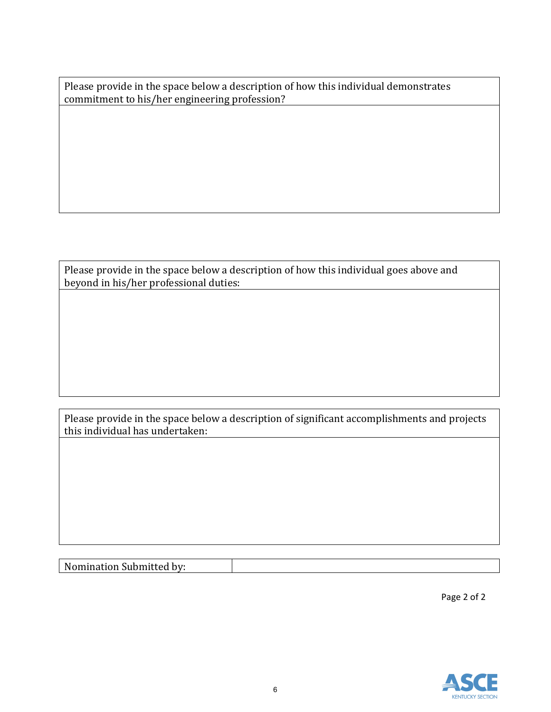Please provide in the space below a description of how this individual demonstrates commitment to his/her engineering profession?

Please provide in the space below a description of how this individual goes above and beyond in his/her professional duties:

Please provide in the space below a description of significant accomplishments and projects this individual has undertaken:

Nomination Submitted by:

Page 2 of 2

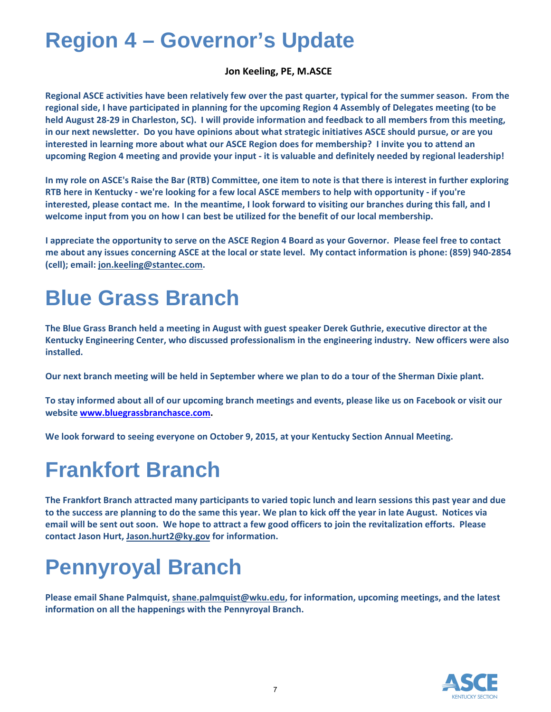#### **Region 4 – Governor's Update**

#### **Jon Keeling, PE, M.ASCE**

Regional ASCE activities have been relatively few over the past quarter, typical for the summer season. From the regional side, I have participated in planning for the upcoming Region 4 Assembly of Delegates meeting (to be held August 28-29 in Charleston, SC). I will provide information and feedback to all members from this meeting, in our next newsletter. Do you have opinions about what strategic initiatives ASCE should pursue, or are you interested in learning more about what our ASCE Region does for membership? I invite you to attend an upcoming Region 4 meeting and provide your input - it is valuable and definitely needed by regional leadership!

In my role on ASCE's Raise the Bar (RTB) Committee, one item to note is that there is interest in further exploring RTB here in Kentucky - we're looking for a few local ASCE members to help with opportunity - if you're interested, please contact me. In the meantime, I look forward to visiting our branches during this fall, and I **welcome input from you on how I can best be utilized for the benefit of our local membership.**

I appreciate the opportunity to serve on the ASCE Region 4 Board as your Governor. Please feel free to contact me about any issues concerning ASCE at the local or state level. My contact information is phone: (859) 940-2854 **(cell); email: jon.keeling@stantec.com.**

### **Blue Grass Branch**

The Blue Grass Branch held a meeting in August with guest speaker Derek Guthrie, executive director at the **Kentucky Engineering Center, who discussed professionalism in the engineering industry. New officers were also installed.** 

Our next branch meeting will be held in September where we plan to do a tour of the Sherman Dixie plant.

To stay informed about all of our upcoming branch meetings and events, please like us on Facebook or visit our **website www.bluegrassbranchasce.com.**

**We look forward to seeing everyone on October 9, 2015, at your Kentucky Section Annual Meeting.**

### **Frankfort Branch**

The Frankfort Branch attracted many participants to varied topic lunch and learn sessions this past year and due to the success are planning to do the same this year. We plan to kick off the year in late August. Notices via email will be sent out soon. We hope to attract a few good officers to join the revitalization efforts. Please **contact Jason Hurt, Jason.hurt2@ky.gov for information.**

## **Pennyroyal Branch**

**Please email Shane Palmquist, shane.palmquist@wku.edu, for information, upcoming meetings, and the latest information on all the happenings with the Pennyroyal Branch.** 

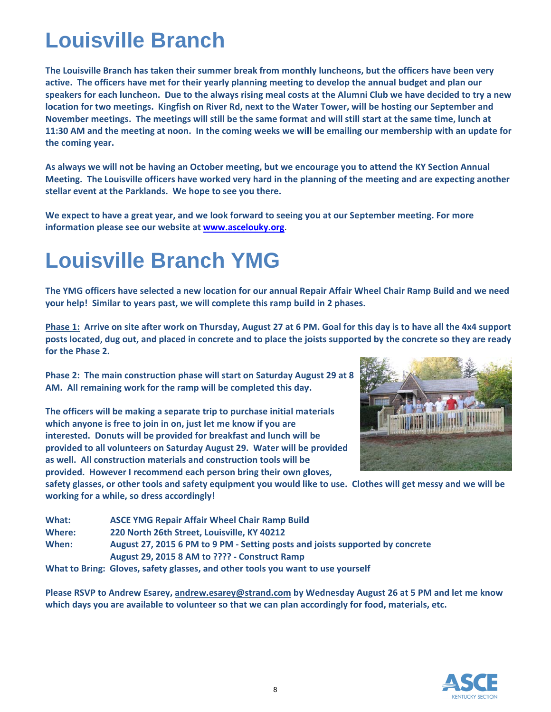### **L Louis ville B Branc ch**

The Louisville Branch has taken their summer break from monthly luncheons, but the officers have been very active. The officers have met for their yearly planning meeting to develop the annual budget and plan our speakers for each luncheon. Due to the always rising meal costs at the Alumni Club we have decided to try a new location for two meetings. Kingfish on River Rd, next to the Water Tower, will be hosting our September and November meetings. The meetings will still be the same format and will still start at the same time, lunch at 11:30 AM and the meeting at noon. In the coming weeks we will be emailing our membership with an update for **th he coming ye ar.** 

As always we will not be having an October meeting, but we encourage you to attend the KY Section Annual Meeting. The Louisville officers have worked very hard in the planning of the meeting and are expecting another **stellar** event at the Parklands. We hope to see you there.

We expect to have a great year, and we look forward to seeing you at our September meeting. For more **information please see our website at <b>www.ascelouky.org**.

### **Louisville Branch YMG**

The YMG officers have selected a new location for our annual Repair Affair Wheel Chair Ramp Build and we need your help! Similar to years past, we will complete this ramp build in 2 phases.

Phase 1: Arrive on site after work on Thursday, August 27 at 6 PM. Goal for this day is to have all the 4x4 support posts located, dug out, and placed in concrete and to place the joists supported by the concrete so they are ready **fo or the Phase 2 2.** 

Phase 2: The main construction phase will start on Saturday August 29 at 8 AM. All remaining work for the ramp will be completed this day.

**Th he officers w ill be making g a separate t rip to purcha ase initial ma terials w which anyone is free to join n in on, just l et me know if you are in nterested. Do onuts will be provided for r breakfast an nd lunch will be pr rovided to al l volunteers o on Saturday A August 29. W Water will be provided as s well. All co onstruction m materials and construction tools will be e pr rovided. How wever I recom mmend each person bring g their own gl loves,**



safety glasses, or other tools and safety equipment you would like to use. Clothes will get messy and we will be **working for a while, so dress accordingly!** 

| What:  | <b>ASCE YMG Repair Affair Wheel Chair Ramp Build</b>                            |
|--------|---------------------------------------------------------------------------------|
| Where: | 220 North 26th Street, Louisville, KY 40212                                     |
| When:  | August 27, 2015 6 PM to 9 PM - Setting posts and joists supported by concrete   |
|        | August 29, 2015 8 AM to ???? - Construct Ramp                                   |
|        | What to Bring: Gloves, safety glasses, and other tools you want to use yourself |

Please RSVP to Andrew Esarey, andrew.esarey@strand.com by Wednesday August 26 at 5 PM and let me know which days you are available to volunteer so that we can plan accordingly for food, materials, etc.

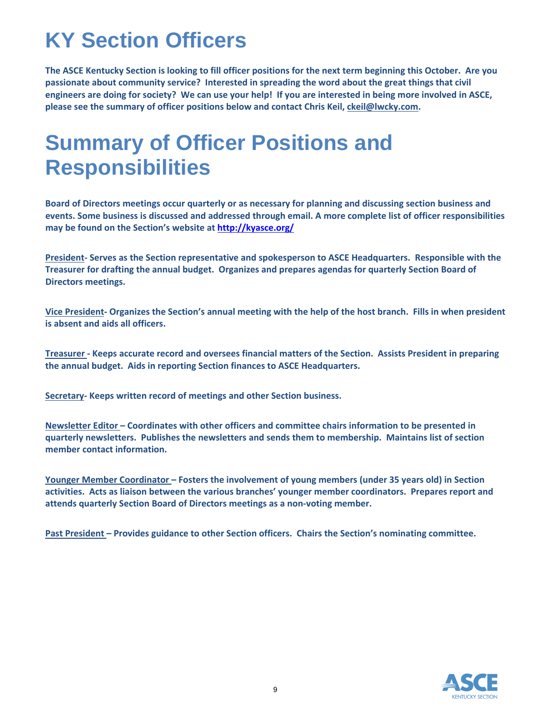## **KY Section Officers**

The ASCE Kentucky Section is looking to fill officer positions for the next term beginning this October. Are you **passionate about community service? Interested in spreading the word about the great things that civil** engineers are doing for society? We can use your help! If you are interested in being more involved in ASCE, **please see the summary of officer positions below and contact Chris Keil, ckeil@lwcky.com.** 

#### **Summary of Officer Positions and Responsibilities**

**Board of Directors meetings occur quarterly or as necessary for planning and discussing section business and events. Some business is discussed and addressed through email. A more complete list of officer responsibilities may be found on the Section's website at http://kyasce.org/**

**President‐ Serves as the Section representative and spokesperson to ASCE Headquarters. Responsible with the Treasurer for drafting the annual budget. Organizes and prepares agendas for quarterly Section Board of Directors meetings.**

Vice President- Organizes the Section's annual meeting with the help of the host branch. Fills in when president **is absent and aids all officers.**

Treasurer - Keeps accurate record and oversees financial matters of the Section. Assists President in preparing **the annual budget. Aids in reporting Section finances to ASCE Headquarters.**

**Secretary‐ Keeps written record of meetings and other Section business.**

**Newsletter Editor – Coordinates with other officers and committee chairs information to be presented in quarterly newsletters. Publishes the newsletters and sends them to membership. Maintains list of section member contact information.**

**Younger Member Coordinator – Fosters the involvement of young members (under 35 years old) in Section activities. Acts as liaison between the various branches' younger member coordinators. Prepares report and attends quarterly Section Board of Directors meetings as a non‐voting member.**

**Past President – Provides guidance to other Section officers. Chairs the Section's nominating committee.**